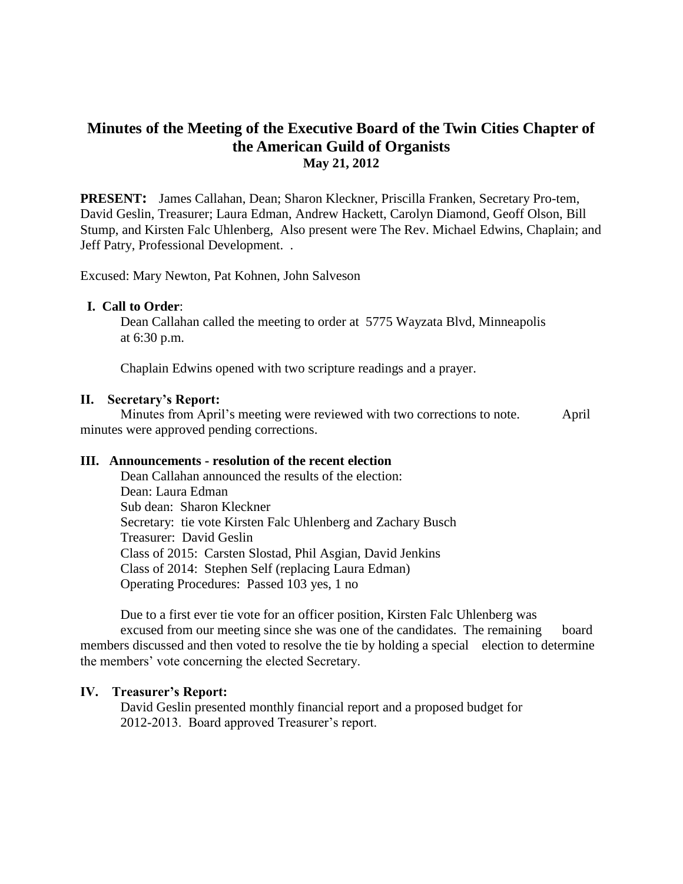# **Minutes of the Meeting of the Executive Board of the Twin Cities Chapter of the American Guild of Organists May 21, 2012**

**PRESENT:** James Callahan, Dean; Sharon Kleckner, Priscilla Franken, Secretary Pro-tem, David Geslin, Treasurer; Laura Edman, Andrew Hackett, Carolyn Diamond, Geoff Olson, Bill Stump, and Kirsten Falc Uhlenberg, Also present were The Rev. Michael Edwins, Chaplain; and Jeff Patry, Professional Development. .

Excused: Mary Newton, Pat Kohnen, John Salveson

### **I. Call to Order**:

Dean Callahan called the meeting to order at 5775 Wayzata Blvd, Minneapolis at 6:30 p.m.

Chaplain Edwins opened with two scripture readings and a prayer.

#### **II. Secretary's Report:**

 Minutes from April's meeting were reviewed with two corrections to note. April minutes were approved pending corrections.

## **III. Announcements - resolution of the recent election**

Dean Callahan announced the results of the election: Dean: Laura Edman Sub dean: Sharon Kleckner Secretary: tie vote Kirsten Falc Uhlenberg and Zachary Busch Treasurer: David Geslin Class of 2015: Carsten Slostad, Phil Asgian, David Jenkins Class of 2014: Stephen Self (replacing Laura Edman) Operating Procedures: Passed 103 yes, 1 no

Due to a first ever tie vote for an officer position, Kirsten Falc Uhlenberg was excused from our meeting since she was one of the candidates. The remaining board members discussed and then voted to resolve the tie by holding a special election to determine the members' vote concerning the elected Secretary.

#### **IV. Treasurer's Report:**

David Geslin presented monthly financial report and a proposed budget for 2012-2013. Board approved Treasurer's report.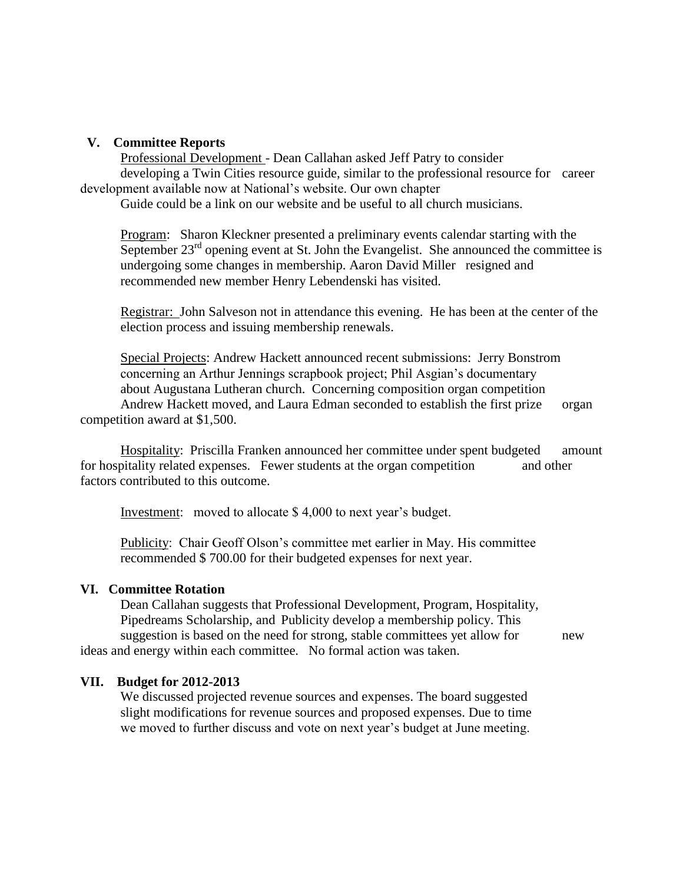## **V. Committee Reports**

Professional Development - Dean Callahan asked Jeff Patry to consider

developing a Twin Cities resource guide, similar to the professional resource for career development available now at National's website. Our own chapter

Guide could be a link on our website and be useful to all church musicians.

Program: Sharon Kleckner presented a preliminary events calendar starting with the September  $23<sup>rd</sup>$  opening event at St. John the Evangelist. She announced the committee is undergoing some changes in membership. Aaron David Miller resigned and recommended new member Henry Lebendenski has visited.

Registrar: John Salveson not in attendance this evening. He has been at the center of the election process and issuing membership renewals.

Special Projects: Andrew Hackett announced recent submissions: Jerry Bonstrom concerning an Arthur Jennings scrapbook project; Phil Asgian's documentary about Augustana Lutheran church. Concerning composition organ competition Andrew Hackett moved, and Laura Edman seconded to establish the first prize organ

competition award at \$1,500.

Hospitality: Priscilla Franken announced her committee under spent budgeted amount for hospitality related expenses. Fewer students at the organ competition and other factors contributed to this outcome.

Investment: moved to allocate \$ 4,000 to next year's budget.

Publicity: Chair Geoff Olson's committee met earlier in May. His committee recommended \$ 700.00 for their budgeted expenses for next year.

## **VI. Committee Rotation**

Dean Callahan suggests that Professional Development, Program, Hospitality, Pipedreams Scholarship, and Publicity develop a membership policy. This suggestion is based on the need for strong, stable committees yet allow for new ideas and energy within each committee. No formal action was taken.

### **VII. Budget for 2012-2013**

We discussed projected revenue sources and expenses. The board suggested slight modifications for revenue sources and proposed expenses. Due to time we moved to further discuss and vote on next year's budget at June meeting.